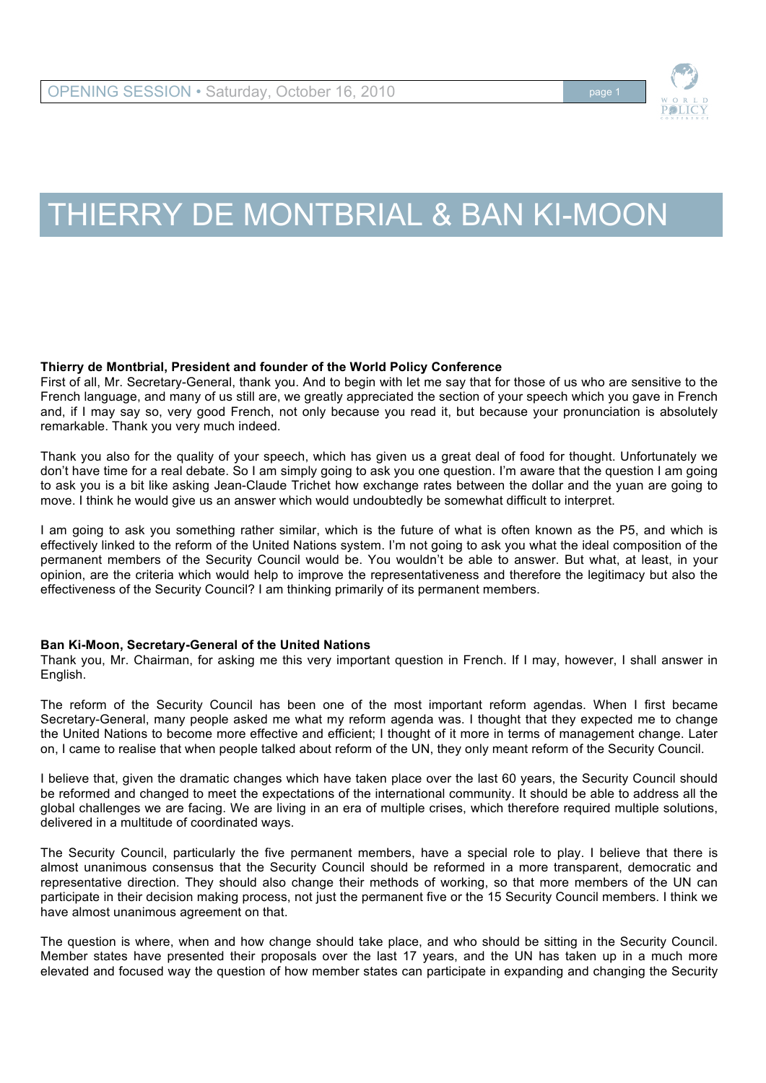

## THIERRY DE MONTBRIAL & BAN KI-MOON

## **Thierry de Montbrial, President and founder of the World Policy Conference**

First of all, Mr. Secretary-General, thank you. And to begin with let me say that for those of us who are sensitive to the French language, and many of us still are, we greatly appreciated the section of your speech which you gave in French and, if I may say so, very good French, not only because you read it, but because your pronunciation is absolutely remarkable. Thank you very much indeed.

Thank you also for the quality of your speech, which has given us a great deal of food for thought. Unfortunately we don't have time for a real debate. So I am simply going to ask you one question. I'm aware that the question I am going to ask you is a bit like asking Jean-Claude Trichet how exchange rates between the dollar and the yuan are going to move. I think he would give us an answer which would undoubtedly be somewhat difficult to interpret.

I am going to ask you something rather similar, which is the future of what is often known as the P5, and which is effectively linked to the reform of the United Nations system. I'm not going to ask you what the ideal composition of the permanent members of the Security Council would be. You wouldn't be able to answer. But what, at least, in your opinion, are the criteria which would help to improve the representativeness and therefore the legitimacy but also the effectiveness of the Security Council? I am thinking primarily of its permanent members.

## **Ban Ki-Moon, Secretary-General of the United Nations**

Thank you, Mr. Chairman, for asking me this very important question in French. If I may, however, I shall answer in English.

The reform of the Security Council has been one of the most important reform agendas. When I first became Secretary-General, many people asked me what my reform agenda was. I thought that they expected me to change the United Nations to become more effective and efficient; I thought of it more in terms of management change. Later on, I came to realise that when people talked about reform of the UN, they only meant reform of the Security Council.

I believe that, given the dramatic changes which have taken place over the last 60 years, the Security Council should be reformed and changed to meet the expectations of the international community. It should be able to address all the global challenges we are facing. We are living in an era of multiple crises, which therefore required multiple solutions, delivered in a multitude of coordinated ways.

The Security Council, particularly the five permanent members, have a special role to play. I believe that there is almost unanimous consensus that the Security Council should be reformed in a more transparent, democratic and representative direction. They should also change their methods of working, so that more members of the UN can participate in their decision making process, not just the permanent five or the 15 Security Council members. I think we have almost unanimous agreement on that.

The question is where, when and how change should take place, and who should be sitting in the Security Council. Member states have presented their proposals over the last 17 years, and the UN has taken up in a much more elevated and focused way the question of how member states can participate in expanding and changing the Security